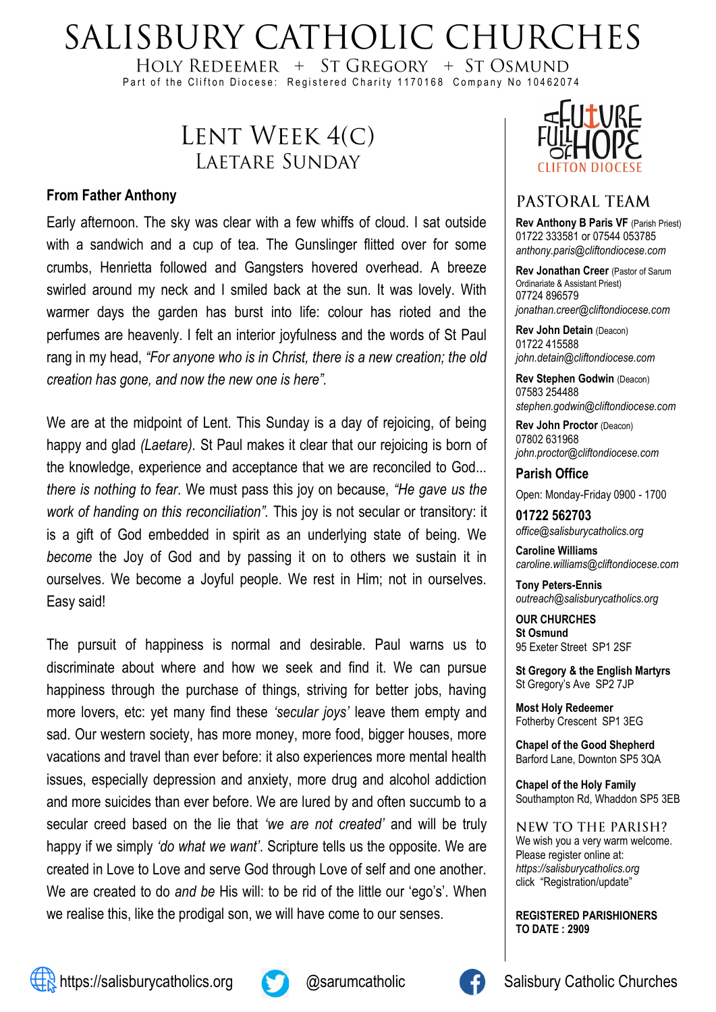# SALISBURY CATHOLIC CHURCHES

HOLY REDEEMER  $+$  ST GREGORY  $+$  ST OSMUND Part of the Clifton Diocese: Registered Charity 1170168 Company No 10462074

# LENT WEEK 4(C) LAETARE SUNDAY

#### **From Father Anthony**

Early afternoon. The sky was clear with a few whiffs of cloud. I sat outside with a sandwich and a cup of tea. The Gunslinger flitted over for some crumbs, Henrietta followed and Gangsters hovered overhead. A breeze swirled around my neck and I smiled back at the sun. It was lovely. With warmer days the garden has burst into life: colour has rioted and the perfumes are heavenly. I felt an interior joyfulness and the words of St Paul rang in my head, *"For anyone who is in Christ, there is a new creation; the old creation has gone, and now the new one is here".*

We are at the midpoint of Lent. This Sunday is a day of rejoicing, of being happy and glad *(Laetare).* St Paul makes it clear that our rejoicing is born of the knowledge, experience and acceptance that we are reconciled to God... *there is nothing to fear*. We must pass this joy on because, *"He gave us the work of handing on this reconciliation".* This joy is not secular or transitory: it is a gift of God embedded in spirit as an underlying state of being. We *become* the Joy of God and by passing it on to others we sustain it in ourselves. We become a Joyful people. We rest in Him; not in ourselves. Easy said!

The pursuit of happiness is normal and desirable. Paul warns us to discriminate about where and how we seek and find it. We can pursue happiness through the purchase of things, striving for better jobs, having more lovers, etc: yet many find these *'secular joys'* leave them empty and sad. Our western society, has more money, more food, bigger houses, more vacations and travel than ever before: it also experiences more mental health issues, especially depression and anxiety, more drug and alcohol addiction and more suicides than ever before. We are lured by and often succumb to a secular creed based on the lie that *'we are not created'* and will be truly happy if we simply *'do what we want'*. Scripture tells us the opposite. We are created in Love to Love and serve God through Love of self and one another. We are created to do *and be* His will: to be rid of the little our 'ego's'. When we realise this, like the prodigal son, we will have come to our senses.



#### PASTORAL TEAM

**Rev Anthony B Paris VF (Parish Priest)** 01722 333581 or 07544 053785 *anthony.paris@cliftondiocese.com*

**Rev Jonathan Creer** (Pastor of Sarum Ordinariate & Assistant Priest) 07724 896579 *jonathan.creer@cliftondiocese.com*

**Rev John Detain** (Deacon) 01722 415588 *john.detain@cliftondiocese.com*

**Rev Stephen Godwin** (Deacon) 07583 254488 *stephen.godwin@cliftondiocese.com*

**Rev John Proctor** (Deacon) 07802 631968 *john.proctor@cliftondiocese.com*

**Parish Office** 

Open: Monday-Friday 0900 - 1700

**01722 562703** *office@salisburycatholics.org*

**Caroline Williams** *caroline.williams@cliftondiocese.com*

**Tony Peters-Ennis** *outreach@salisburycatholics.org*

**OUR CHURCHES St Osmund** 95 Exeter Street SP1 2SF

**St Gregory & the English Martyrs** St Gregory's Ave SP2 7JP

**Most Holy Redeemer**  Fotherby Crescent SP1 3EG

**Chapel of the Good Shepherd** Barford Lane, Downton SP5 3QA

**Chapel of the Holy Family** Southampton Rd, Whaddon SP5 3EB

NEW TO THE PARISH? We wish you a very warm welcome. Please register online at: *[https://salisburycatholics.org](https://p1.pamis.co.uk/salisbury/onlined01cab)*  [click "Registration/update"](https://p1.pamis.co.uk/salisbury/onlined01cab) 

**REGISTERED PARISHIONERS TO DATE : 2909**



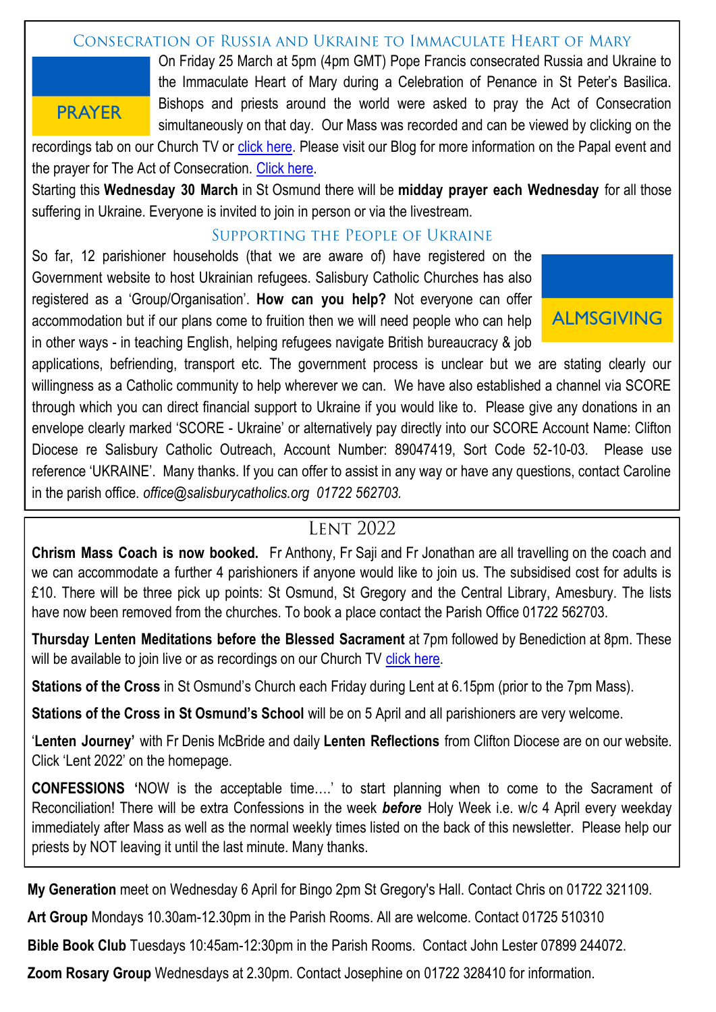#### CONSECRATION OF RUSSIA AND UKRAINE TO IMMACULATE HEART OF MARY

### **PRAYER**

On Friday 25 March at 5pm (4pm GMT) Pope Francis consecrated Russia and Ukraine to the Immaculate Heart of Mary during a Celebration of Penance in St Peter's Basilica. Bishops and priests around the world were asked to pray the Act of Consecration simultaneously on that day. Our Mass was recorded and can be viewed by clicking on the

recordings tab on our Church TV or [click here.](https://salisburycatholics.org/st-osmunds) Please visit our Blog for more information on the Papal event and the prayer for The Act of Consecration. [Click here.](https://salisburycatholics.org/blog/consecration-russia-and-ukraine-immaculate-heart-mary)

Starting this **Wednesday 30 March** in St Osmund there will be **midday prayer each Wednesday** for all those suffering in Ukraine. Everyone is invited to join in person or via the livestream.

#### SUPPORTING THE PEOPLE OF UKRAINE

So far, 12 parishioner households (that we are aware of) have registered on the Government website to host Ukrainian refugees. Salisbury Catholic Churches has also registered as a 'Group/Organisation'. **How can you help?** Not everyone can offer accommodation but if our plans come to fruition then we will need people who can help in other ways - in teaching English, helping refugees navigate British bureaucracy & job



applications, befriending, transport etc. The government process is unclear but we are stating clearly our willingness as a Catholic community to help wherever we can. We have also established a channel via SCORE through which you can direct financial support to Ukraine if you would like to. Please give any donations in an envelope clearly marked 'SCORE - Ukraine' or alternatively pay directly into our SCORE Account Name: Clifton Diocese re Salisbury Catholic Outreach, Account Number: 89047419, Sort Code 52-10-03. Please use reference 'UKRAINE'. Many thanks. If you can offer to assist in any way or have any questions, contact Caroline in the parish office. *office@salisburycatholics.org 01722 562703.*

## **LENT 2022**

**Chrism Mass Coach is now booked.** Fr Anthony, Fr Saji and Fr Jonathan are all travelling on the coach and we can accommodate a further 4 parishioners if anyone would like to join us. The subsidised cost for adults is £10. There will be three pick up points: St Osmund, St Gregory and the Central Library, Amesbury. The lists have now been removed from the churches. To book a place contact the Parish Office 01722 562703.

**Thursday Lenten Meditations before the Blessed Sacrament** at 7pm followed by Benediction at 8pm. These will be available to join live or as recordings on our Church TV [click here.](https://salisburycatholics.org/st-osmunds)

**Stations of the Cross** in St Osmund's Church each Friday during Lent at 6.15pm (prior to the 7pm Mass).

**Stations of the Cross in St Osmund's School** will be on 5 April and all parishioners are very welcome.

'**Lenten Journey'** with Fr Denis McBride and daily **Lenten Reflections** from Clifton Diocese are on our website. Click 'Lent 2022' on the homepage.

**CONFESSIONS '**NOW is the acceptable time….' to start planning when to come to the Sacrament of Reconciliation! There will be extra Confessions in the week *before* Holy Week i.e. w/c 4 April every weekday immediately after Mass as well as the normal weekly times listed on the back of this newsletter. Please help our priests by NOT leaving it until the last minute. Many thanks.

**My Generation** meet on Wednesday 6 April for Bingo 2pm St Gregory's Hall. Contact Chris on 01722 321109.

**Art Group** Mondays 10.30am-12.30pm in the Parish Rooms. All are welcome. Contact 01725 510310

**Bible Book Club** Tuesdays 10:45am-12:30pm in the Parish Rooms. Contact John Lester 07899 244072.

**Zoom Rosary Group** Wednesdays at 2.30pm. Contact Josephine on 01722 328410 for information.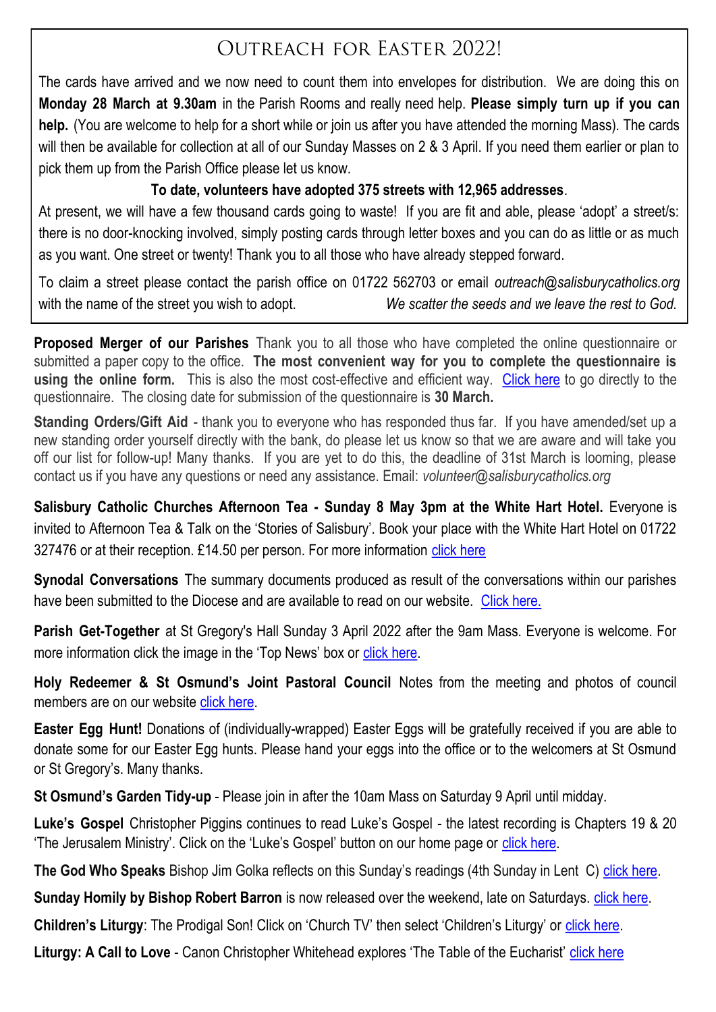## **OUTREACH FOR EASTER 2022!**

The cards have arrived and we now need to count them into envelopes for distribution. We are doing this on **Monday 28 March at 9.30am** in the Parish Rooms and really need help. **Please simply turn up if you can help.** (You are welcome to help for a short while or join us after you have attended the morning Mass). The cards will then be available for collection at all of our Sunday Masses on 2 & 3 April. If you need them earlier or plan to pick them up from the Parish Office please let us know.

#### **To date, volunteers have adopted 375 streets with 12,965 addresses**.

At present, we will have a few thousand cards going to waste! If you are fit and able, please 'adopt' a street/s: there is no door-knocking involved, simply posting cards through letter boxes and you can do as little or as much as you want. One street or twenty! Thank you to all those who have already stepped forward.

To claim a street please contact the parish office on 01722 562703 or email *outreach@salisburycatholics.org*  with the name of the street you wish to adopt. **We scatter the seeds and we leave the rest to God.** 

**Proposed Merger of our Parishes** Thank you to all those who have completed the online questionnaire or submitted a paper copy to the office. **The most convenient way for you to complete the questionnaire is using the online form.** This is also the most cost-effective and efficient way. [Click here](https://salisburycatholics.org/q-0) to go directly to the questionnaire. The closing date for submission of the questionnaire is **30 March.**

**Standing Orders/Gift Aid** - thank you to everyone who has responded thus far. If you have amended/set up a new standing order yourself directly with the bank, do please let us know so that we are aware and will take you off our list for follow-up! Many thanks. If you are yet to do this, the deadline of 31st March is looming, please contact us if you have any questions or need any assistance. Email: *volunteer@salisburycatholics.org*

**Salisbury Catholic Churches Afternoon Tea - Sunday 8 May 3pm at the White Hart Hotel.** Everyone is invited to Afternoon Tea & Talk on the 'Stories of Salisbury'. Book your place with the White Hart Hotel on 01722 327476 or at their reception. £14.50 per person. For more information [click here](https://salisburycatholics.org/blog/salisbury-catholic-churches-afternoon-tea)

**Synodal Conversations** The summary documents produced as result of the conversations within our parishes have been submitted to the Diocese and are available to read on our website. [Click here.](https://salisburycatholics.org/synodal-church)

**Parish Get-Together** at St Gregory's Hall Sunday 3 April 2022 after the 9am Mass. Everyone is welcome. For more information click the image in the 'Top News' box or [click here.](https://salisburycatholics.org/blog/parish-get-together)

**Holy Redeemer & St Osmund's Joint Pastoral Council** Notes from the meeting and photos of council members are on our website [click here.](https://salisburycatholics.org/ppc-hr-sto)

**Easter Egg Hunt!** Donations of (individually-wrapped) Easter Eggs will be gratefully received if you are able to donate some for our Easter Egg hunts. Please hand your eggs into the office or to the welcomers at St Osmund or St Gregory's. Many thanks.

**St Osmund's Garden Tidy-up** - Please join in after the 10am Mass on Saturday 9 April until midday.

**Luke's Gospel** Christopher Piggins continues to read Luke's Gospel - the latest recording is Chapters 19 & 20 'The Jerusalem Ministry'. Click on the 'Luke's Gospel' button on our home page or [click here.](https://salisburycatholics.org/lukes-gospel)

**The God Who Speaks** Bishop Jim Golka reflects on this Sunday's readings (4th Sunday in Lent C) [click here.](https://salisburycatholics.org/god-who-speaks)

**Sunday Homily by Bishop Robert Barron** is now released over the weekend, late on Saturdays. *[click here.](https://salisburycatholics.org/sunday-homily)* 

**Children's Liturgy**: The Prodigal Son! Click on 'Church TV' then select 'Children's Liturgy' or *[click here.](https://salisburycatholics.org/childrens-liturgy)* 

**Liturgy: A Call to Love** - Canon Christopher Whitehead explores 'The Table of the Eucharist' [click here](https://salisburycatholics.org/call-love)